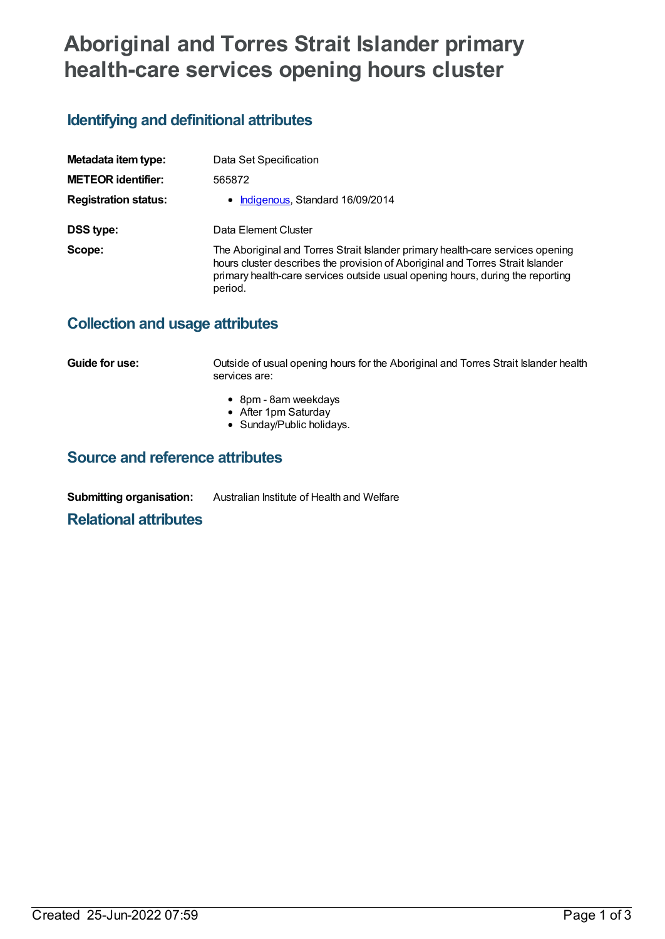# **Aboriginal and Torres Strait Islander primary health-care services opening hours cluster**

## **Identifying and definitional attributes**

| Metadata item type:         | Data Set Specification                                                                                                                                                                                                                                        |
|-----------------------------|---------------------------------------------------------------------------------------------------------------------------------------------------------------------------------------------------------------------------------------------------------------|
| <b>METEOR identifier:</b>   | 565872                                                                                                                                                                                                                                                        |
| <b>Registration status:</b> | • Indigenous, Standard 16/09/2014                                                                                                                                                                                                                             |
| DSS type:                   | Data Element Cluster                                                                                                                                                                                                                                          |
| Scope:                      | The Aboriginal and Torres Strait Islander primary health-care services opening<br>hours cluster describes the provision of Aboriginal and Torres Strait Islander<br>primary health-care services outside usual opening hours, during the reporting<br>period. |

### **Collection and usage attributes**

**Guide for use: Cultside of usual opening hours for the Aboriginal and Torres Strait Islander health** services are:

- 8pm 8am weekdays
- After 1pm Saturday
- Sunday/Public holidays.

### **Source and reference attributes**

**Submitting organisation:** Australian Institute of Health and Welfare

#### **Relational attributes**